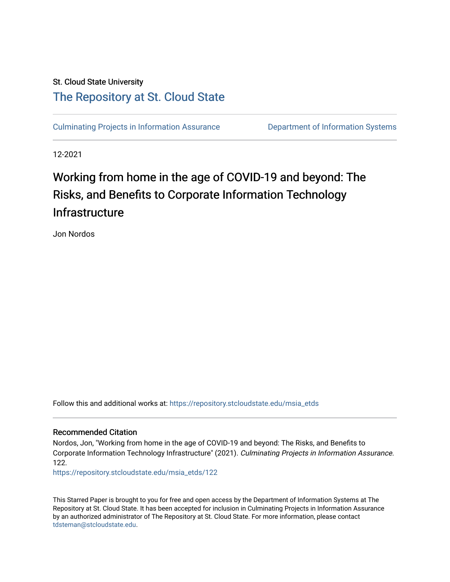## St. Cloud State University [The Repository at St. Cloud State](https://repository.stcloudstate.edu/)

[Culminating Projects in Information Assurance](https://repository.stcloudstate.edu/msia_etds) **Department of Information Systems** 

12-2021

# Working from home in the age of COVID-19 and beyond: The Risks, and Benefits to Corporate Information Technology **Infrastructure**

Jon Nordos

Follow this and additional works at: [https://repository.stcloudstate.edu/msia\\_etds](https://repository.stcloudstate.edu/msia_etds?utm_source=repository.stcloudstate.edu%2Fmsia_etds%2F122&utm_medium=PDF&utm_campaign=PDFCoverPages)

#### Recommended Citation

Nordos, Jon, "Working from home in the age of COVID-19 and beyond: The Risks, and Benefits to Corporate Information Technology Infrastructure" (2021). Culminating Projects in Information Assurance. 122.

[https://repository.stcloudstate.edu/msia\\_etds/122](https://repository.stcloudstate.edu/msia_etds/122?utm_source=repository.stcloudstate.edu%2Fmsia_etds%2F122&utm_medium=PDF&utm_campaign=PDFCoverPages)

This Starred Paper is brought to you for free and open access by the Department of Information Systems at The Repository at St. Cloud State. It has been accepted for inclusion in Culminating Projects in Information Assurance by an authorized administrator of The Repository at St. Cloud State. For more information, please contact [tdsteman@stcloudstate.edu](mailto:tdsteman@stcloudstate.edu).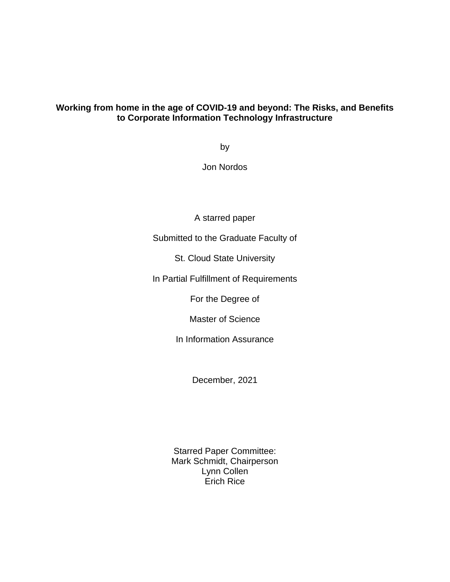## **Working from home in the age of COVID-19 and beyond: The Risks, and Benefits to Corporate Information Technology Infrastructure**

by

Jon Nordos

A starred paper

Submitted to the Graduate Faculty of

St. Cloud State University

In Partial Fulfillment of Requirements

For the Degree of

Master of Science

In Information Assurance

December, 2021

Starred Paper Committee: Mark Schmidt, Chairperson Lynn Collen Erich Rice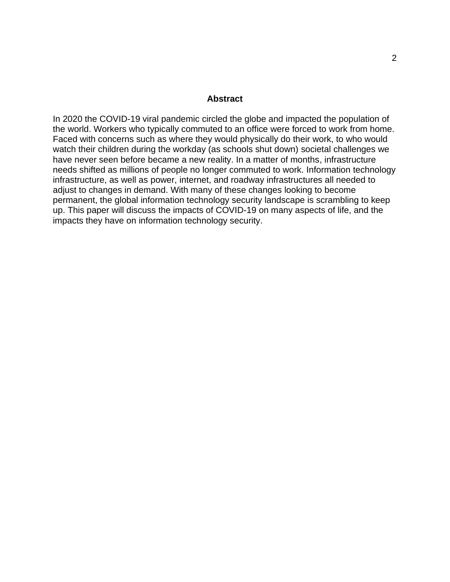#### **Abstract**

In 2020 the COVID-19 viral pandemic circled the globe and impacted the population of the world. Workers who typically commuted to an office were forced to work from home. Faced with concerns such as where they would physically do their work, to who would watch their children during the workday (as schools shut down) societal challenges we have never seen before became a new reality. In a matter of months, infrastructure needs shifted as millions of people no longer commuted to work. Information technology infrastructure, as well as power, internet, and roadway infrastructures all needed to adjust to changes in demand. With many of these changes looking to become permanent, the global information technology security landscape is scrambling to keep up. This paper will discuss the impacts of COVID-19 on many aspects of life, and the impacts they have on information technology security.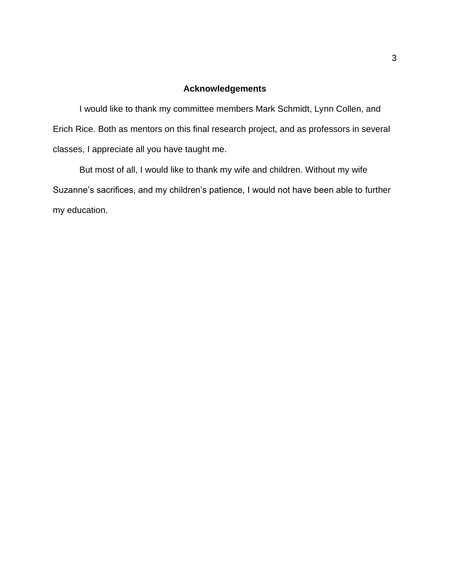## **Acknowledgements**

I would like to thank my committee members Mark Schmidt, Lynn Collen, and Erich Rice. Both as mentors on this final research project, and as professors in several classes, I appreciate all you have taught me.

But most of all, I would like to thank my wife and children. Without my wife Suzanne's sacrifices, and my children's patience, I would not have been able to further my education.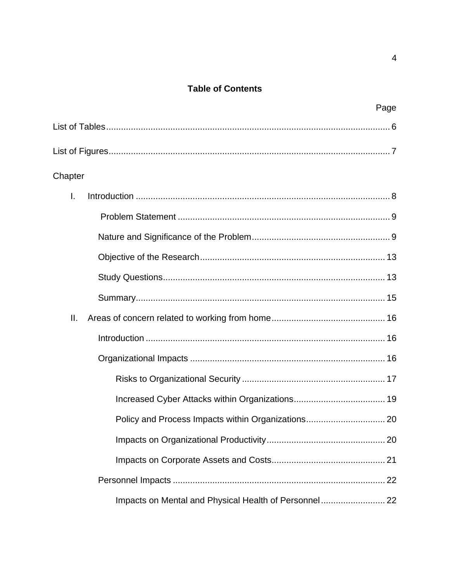## **Table of Contents**

|              | Page |
|--------------|------|
|              |      |
|              |      |
| Chapter      |      |
| $\mathsf{L}$ |      |
|              |      |
|              |      |
|              |      |
|              |      |
|              |      |
| Ш.           |      |
|              |      |
|              |      |
|              |      |
|              |      |
|              |      |
|              |      |
|              |      |
|              |      |
|              |      |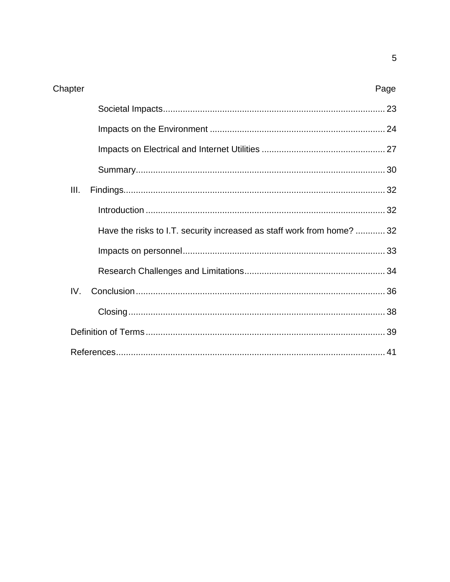| III. |                                                                        |  |
|------|------------------------------------------------------------------------|--|
|      |                                                                        |  |
|      | Have the risks to I.T. security increased as staff work from home?  32 |  |
|      |                                                                        |  |
|      |                                                                        |  |
| IV.  |                                                                        |  |
|      |                                                                        |  |
|      |                                                                        |  |
|      |                                                                        |  |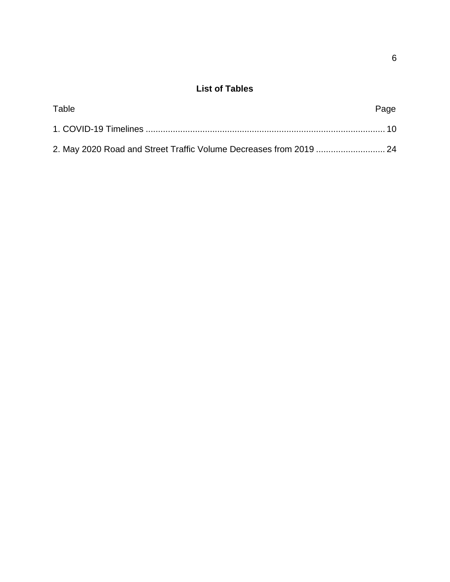## **List of Tables**

<span id="page-6-0"></span>

| Table                                                               | Page |
|---------------------------------------------------------------------|------|
|                                                                     |      |
| 24. May 2020 Road and Street Traffic Volume Decreases from 2019  24 |      |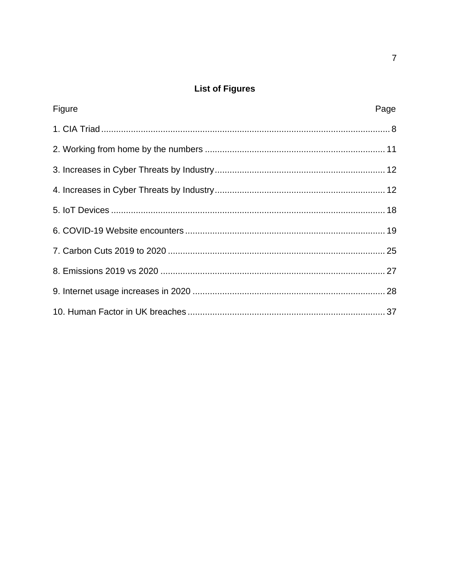## **List of Figures**

<span id="page-7-0"></span>

| Figure | Page |
|--------|------|
|        |      |
|        |      |
|        |      |
|        |      |
|        |      |
|        |      |
|        |      |
|        |      |
|        |      |
|        |      |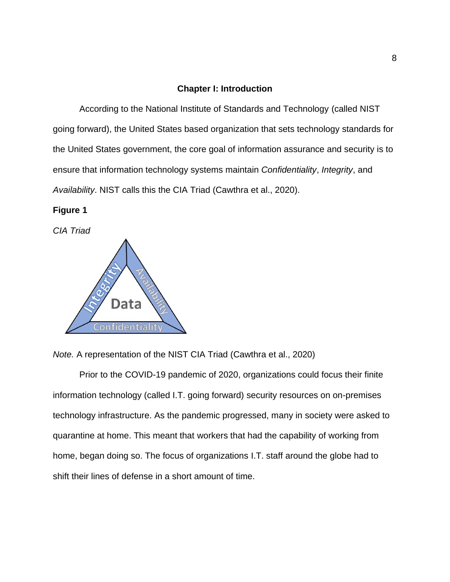#### <span id="page-8-0"></span>**Chapter I: Introduction**

According to the National Institute of Standards and Technology (called NIST going forward), the United States based organization that sets technology standards for the United States government, the core goal of information assurance and security is to ensure that information technology systems maintain *Confidentiality*, *Integrity*, and *Availability*. NIST calls this the CIA Triad (Cawthra et al., 2020).

### **Figure 1**

*CIA Triad*



*Note.* A representation of the NIST CIA Triad (Cawthra et al., 2020)

Prior to the COVID-19 pandemic of 2020, organizations could focus their finite information technology (called I.T. going forward) security resources on on-premises technology infrastructure. As the pandemic progressed, many in society were asked to quarantine at home. This meant that workers that had the capability of working from home, began doing so. The focus of organizations I.T. staff around the globe had to shift their lines of defense in a short amount of time.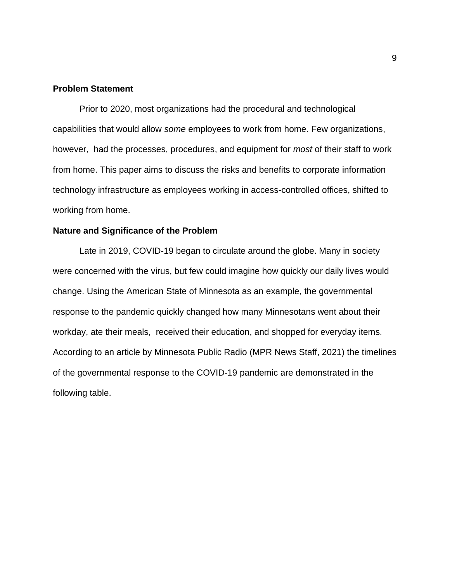#### <span id="page-9-0"></span>**Problem Statement**

Prior to 2020, most organizations had the procedural and technological capabilities that would allow *some* employees to work from home. Few organizations, however, had the processes, procedures, and equipment for *most* of their staff to work from home. This paper aims to discuss the risks and benefits to corporate information technology infrastructure as employees working in access-controlled offices, shifted to working from home.

#### <span id="page-9-1"></span>**Nature and Significance of the Problem**

Late in 2019, COVID-19 began to circulate around the globe. Many in society were concerned with the virus, but few could imagine how quickly our daily lives would change. Using the American State of Minnesota as an example, the governmental response to the pandemic quickly changed how many Minnesotans went about their workday, ate their meals, received their education, and shopped for everyday items. According to an article by Minnesota Public Radio (MPR News Staff, 2021) the timelines of the governmental response to the COVID-19 pandemic are demonstrated in the following table.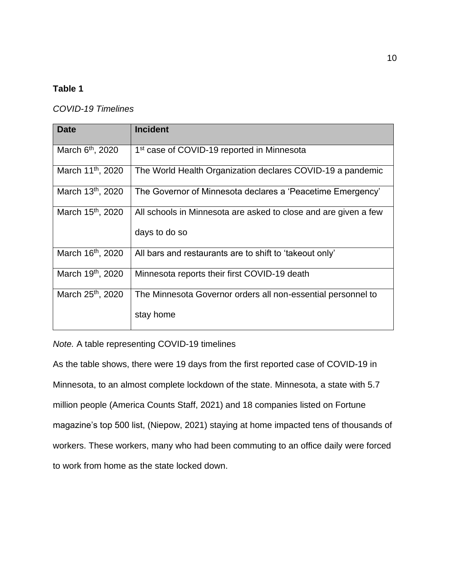## <span id="page-10-0"></span>**Table 1**

## *COVID-19 Timelines*

| <b>Date</b>                   | <b>Incident</b>                                                 |
|-------------------------------|-----------------------------------------------------------------|
|                               |                                                                 |
| March 6 <sup>th</sup> , 2020  | 1 <sup>st</sup> case of COVID-19 reported in Minnesota          |
| March 11 <sup>th</sup> , 2020 | The World Health Organization declares COVID-19 a pandemic      |
| March 13 <sup>th</sup> , 2020 | The Governor of Minnesota declares a 'Peacetime Emergency'      |
| March 15 <sup>th</sup> , 2020 | All schools in Minnesota are asked to close and are given a few |
|                               | days to do so                                                   |
| March 16th, 2020              | All bars and restaurants are to shift to 'takeout only'         |
| March 19th, 2020              | Minnesota reports their first COVID-19 death                    |
| March 25 <sup>th</sup> , 2020 | The Minnesota Governor orders all non-essential personnel to    |
|                               | stay home                                                       |

*Note.* A table representing COVID-19 timelines

As the table shows, there were 19 days from the first reported case of COVID-19 in Minnesota, to an almost complete lockdown of the state. Minnesota, a state with 5.7 million people (America Counts Staff, 2021) and 18 companies listed on Fortune magazine's top 500 list, (Niepow, 2021) staying at home impacted tens of thousands of workers. These workers, many who had been commuting to an office daily were forced to work from home as the state locked down.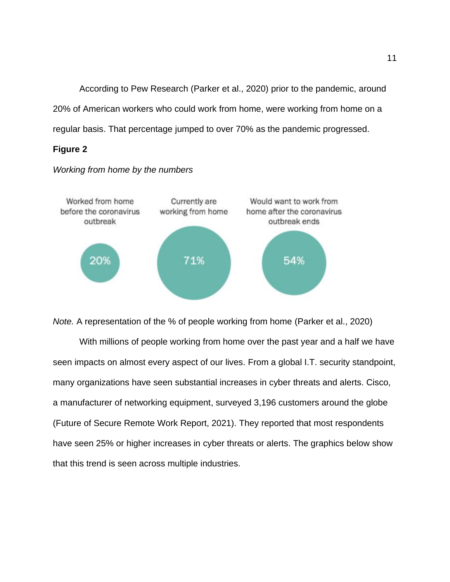According to Pew Research (Parker et al., 2020) prior to the pandemic, around 20% of American workers who could work from home, were working from home on a regular basis. That percentage jumped to over 70% as the pandemic progressed.

## **Figure 2**



#### *Working from home by the numbers*

*Note.* A representation of the % of people working from home (Parker et al., 2020)

With millions of people working from home over the past year and a half we have seen impacts on almost every aspect of our lives. From a global I.T. security standpoint, many organizations have seen substantial increases in cyber threats and alerts. Cisco, a manufacturer of networking equipment, surveyed 3,196 customers around the globe (Future of Secure Remote Work Report, 2021). They reported that most respondents have seen 25% or higher increases in cyber threats or alerts. The graphics below show that this trend is seen across multiple industries.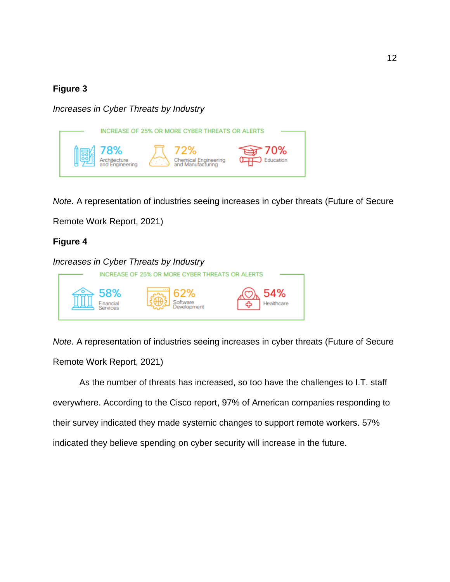## **Figure 3**

*Increases in Cyber Threats by Industry*



*Note.* A representation of industries seeing increases in cyber threats (Future of Secure

Remote Work Report, 2021)

## **Figure 4**



*Note.* A representation of industries seeing increases in cyber threats (Future of Secure Remote Work Report, 2021)

As the number of threats has increased, so too have the challenges to I.T. staff everywhere. According to the Cisco report, 97% of American companies responding to their survey indicated they made systemic changes to support remote workers. 57% indicated they believe spending on cyber security will increase in the future.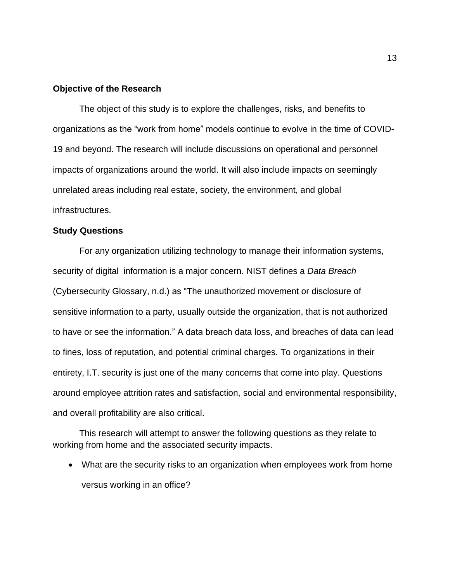#### <span id="page-13-0"></span>**Objective of the Research**

The object of this study is to explore the challenges, risks, and benefits to organizations as the "work from home" models continue to evolve in the time of COVID-19 and beyond. The research will include discussions on operational and personnel impacts of organizations around the world. It will also include impacts on seemingly unrelated areas including real estate, society, the environment, and global infrastructures.

#### <span id="page-13-1"></span>**Study Questions**

For any organization utilizing technology to manage their information systems, security of digital information is a major concern. NIST defines a *Data Breach* (Cybersecurity Glossary, n.d.) as "The unauthorized movement or disclosure of sensitive information to a party, usually outside the organization, that is not authorized to have or see the information." A data breach data loss, and breaches of data can lead to fines, loss of reputation, and potential criminal charges. To organizations in their entirety, I.T. security is just one of the many concerns that come into play. Questions around employee attrition rates and satisfaction, social and environmental responsibility, and overall profitability are also critical.

This research will attempt to answer the following questions as they relate to working from home and the associated security impacts.

• What are the security risks to an organization when employees work from home versus working in an office?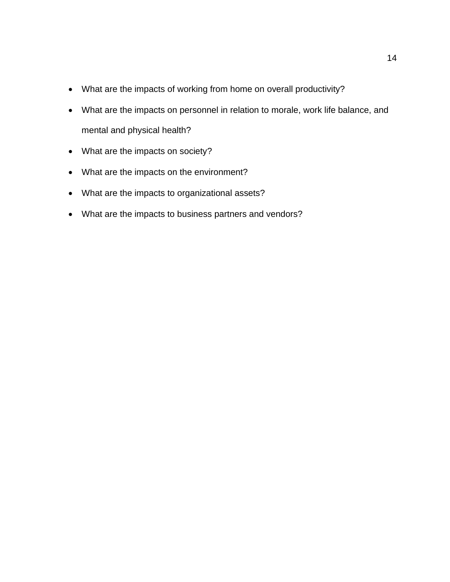- What are the impacts of working from home on overall productivity?
- What are the impacts on personnel in relation to morale, work life balance, and mental and physical health?
- What are the impacts on society?
- What are the impacts on the environment?
- What are the impacts to organizational assets?
- What are the impacts to business partners and vendors?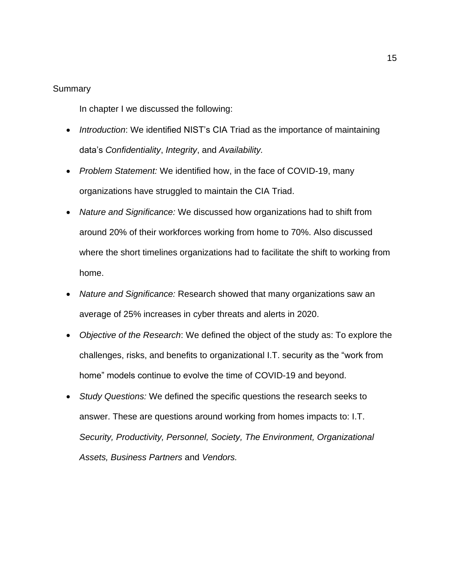#### <span id="page-15-0"></span>Summary

In chapter I we discussed the following:

- *Introduction*: We identified NIST's CIA Triad as the importance of maintaining data's *Confidentiality*, *Integrity*, and *Availability.*
- *Problem Statement:* We identified how, in the face of COVID-19, many organizations have struggled to maintain the CIA Triad.
- *Nature and Significance:* We discussed how organizations had to shift from around 20% of their workforces working from home to 70%. Also discussed where the short timelines organizations had to facilitate the shift to working from home.
- *Nature and Significance:* Research showed that many organizations saw an average of 25% increases in cyber threats and alerts in 2020.
- *Objective of the Research*: We defined the object of the study as: To explore the challenges, risks, and benefits to organizational I.T. security as the "work from home" models continue to evolve the time of COVID-19 and beyond.
- *Study Questions:* We defined the specific questions the research seeks to answer. These are questions around working from homes impacts to: I.T. *Security, Productivity, Personnel, Society, The Environment, Organizational Assets, Business Partners* and *Vendors.*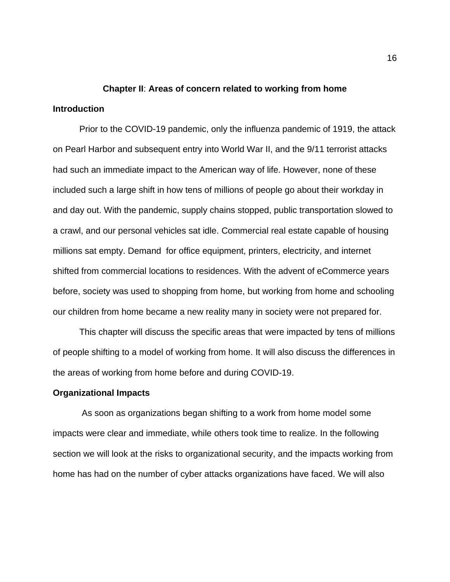## <span id="page-16-1"></span><span id="page-16-0"></span>**Chapter II**: **Areas of concern related to working from home Introduction**

Prior to the COVID-19 pandemic, only the influenza pandemic of 1919, the attack on Pearl Harbor and subsequent entry into World War II, and the 9/11 terrorist attacks had such an immediate impact to the American way of life. However, none of these included such a large shift in how tens of millions of people go about their workday in and day out. With the pandemic, supply chains stopped, public transportation slowed to a crawl, and our personal vehicles sat idle. Commercial real estate capable of housing millions sat empty. Demand for office equipment, printers, electricity, and internet shifted from commercial locations to residences. With the advent of eCommerce years before, society was used to shopping from home, but working from home and schooling our children from home became a new reality many in society were not prepared for.

This chapter will discuss the specific areas that were impacted by tens of millions of people shifting to a model of working from home. It will also discuss the differences in the areas of working from home before and during COVID-19.

#### <span id="page-16-2"></span>**Organizational Impacts**

As soon as organizations began shifting to a work from home model some impacts were clear and immediate, while others took time to realize. In the following section we will look at the risks to organizational security, and the impacts working from home has had on the number of cyber attacks organizations have faced. We will also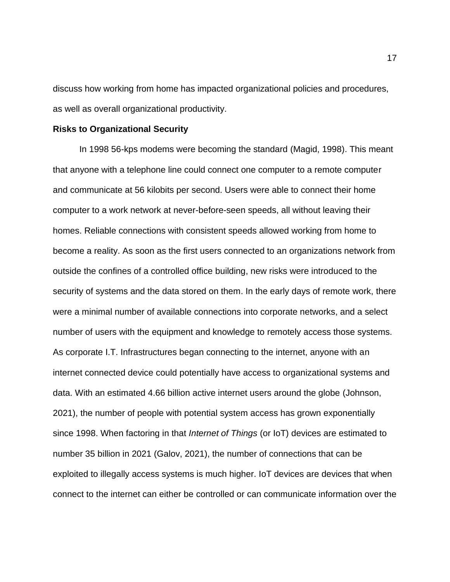discuss how working from home has impacted organizational policies and procedures, as well as overall organizational productivity.

#### <span id="page-17-0"></span>**Risks to Organizational Security**

In 1998 56-kps modems were becoming the standard (Magid, 1998). This meant that anyone with a telephone line could connect one computer to a remote computer and communicate at 56 kilobits per second. Users were able to connect their home computer to a work network at never-before-seen speeds, all without leaving their homes. Reliable connections with consistent speeds allowed working from home to become a reality. As soon as the first users connected to an organizations network from outside the confines of a controlled office building, new risks were introduced to the security of systems and the data stored on them. In the early days of remote work, there were a minimal number of available connections into corporate networks, and a select number of users with the equipment and knowledge to remotely access those systems. As corporate I.T. Infrastructures began connecting to the internet, anyone with an internet connected device could potentially have access to organizational systems and data. With an estimated 4.66 billion active internet users around the globe (Johnson, 2021), the number of people with potential system access has grown exponentially since 1998. When factoring in that *Internet of Things* (or IoT) devices are estimated to number 35 billion in 2021 (Galov, 2021), the number of connections that can be exploited to illegally access systems is much higher. IoT devices are devices that when connect to the internet can either be controlled or can communicate information over the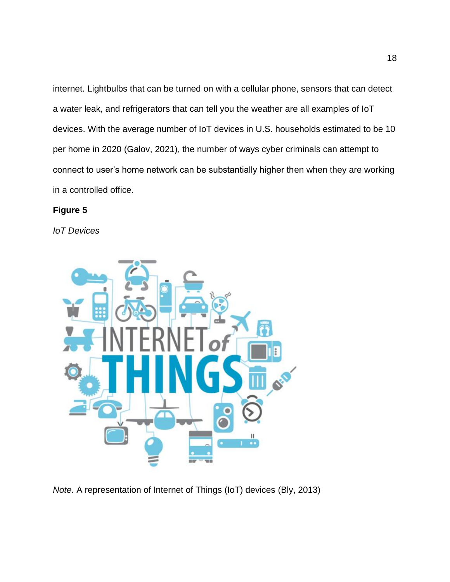internet. Lightbulbs that can be turned on with a cellular phone, sensors that can detect a water leak, and refrigerators that can tell you the weather are all examples of IoT devices. With the average number of IoT devices in U.S. households estimated to be 10 per home in 2020 (Galov, 2021), the number of ways cyber criminals can attempt to connect to user's home network can be substantially higher then when they are working in a controlled office.

## **Figure 5**

*IoT Devices*



*Note.* A representation of Internet of Things (IoT) devices (Bly, 2013)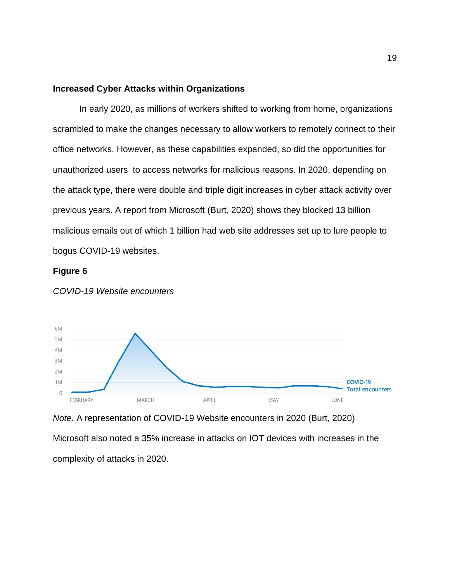#### <span id="page-19-0"></span>**Increased Cyber Attacks within Organizations**

In early 2020, as millions of workers shifted to working from home, organizations scrambled to make the changes necessary to allow workers to remotely connect to their office networks. However, as these capabilities expanded, so did the opportunities for unauthorized users to access networks for malicious reasons. In 2020, depending on the attack type, there were double and triple digit increases in cyber attack activity over previous years. A report from Microsoft (Burt, 2020) shows they blocked 13 billion malicious emails out of which 1 billion had web site addresses set up to lure people to bogus COVID-19 websites.

#### **Figure 6**



*COVID-19 Website encounters*

*Note.* A representation of COVID-19 Website encounters in 2020 (Burt, 2020)

Microsoft also noted a 35% increase in attacks on IOT devices with increases in the complexity of attacks in 2020.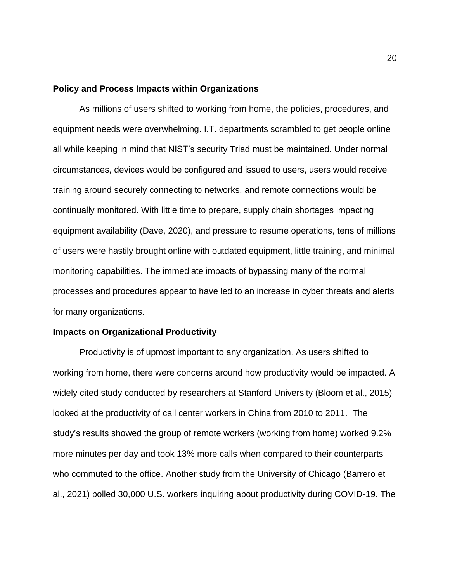#### <span id="page-20-0"></span>**Policy and Process Impacts within Organizations**

As millions of users shifted to working from home, the policies, procedures, and equipment needs were overwhelming. I.T. departments scrambled to get people online all while keeping in mind that NIST's security Triad must be maintained. Under normal circumstances, devices would be configured and issued to users, users would receive training around securely connecting to networks, and remote connections would be continually monitored. With little time to prepare, supply chain shortages impacting equipment availability (Dave, 2020), and pressure to resume operations, tens of millions of users were hastily brought online with outdated equipment, little training, and minimal monitoring capabilities. The immediate impacts of bypassing many of the normal processes and procedures appear to have led to an increase in cyber threats and alerts for many organizations.

#### <span id="page-20-1"></span>**Impacts on Organizational Productivity**

Productivity is of upmost important to any organization. As users shifted to working from home, there were concerns around how productivity would be impacted. A widely cited study conducted by researchers at Stanford University (Bloom et al., 2015) looked at the productivity of call center workers in China from 2010 to 2011. The study's results showed the group of remote workers (working from home) worked 9.2% more minutes per day and took 13% more calls when compared to their counterparts who commuted to the office. Another study from the University of Chicago (Barrero et al., 2021) polled 30,000 U.S. workers inquiring about productivity during COVID-19. The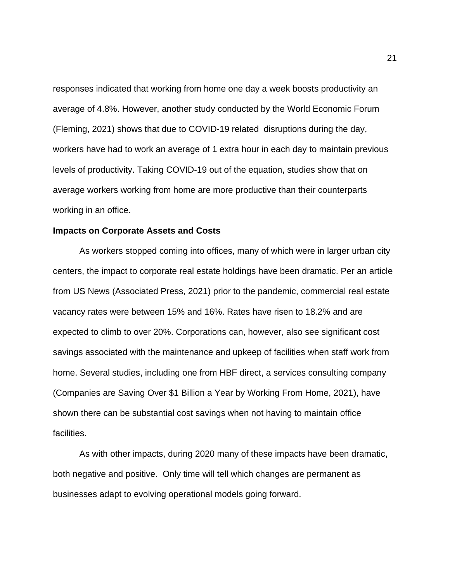responses indicated that working from home one day a week boosts productivity an average of 4.8%. However, another study conducted by the World Economic Forum (Fleming, 2021) shows that due to COVID-19 related disruptions during the day, workers have had to work an average of 1 extra hour in each day to maintain previous levels of productivity. Taking COVID-19 out of the equation, studies show that on average workers working from home are more productive than their counterparts working in an office.

#### <span id="page-21-0"></span>**Impacts on Corporate Assets and Costs**

As workers stopped coming into offices, many of which were in larger urban city centers, the impact to corporate real estate holdings have been dramatic. Per an article from US News (Associated Press, 2021) prior to the pandemic, commercial real estate vacancy rates were between 15% and 16%. Rates have risen to 18.2% and are expected to climb to over 20%. Corporations can, however, also see significant cost savings associated with the maintenance and upkeep of facilities when staff work from home. Several studies, including one from HBF direct, a services consulting company (Companies are Saving Over \$1 Billion a Year by Working From Home, 2021), have shown there can be substantial cost savings when not having to maintain office facilities.

As with other impacts, during 2020 many of these impacts have been dramatic, both negative and positive. Only time will tell which changes are permanent as businesses adapt to evolving operational models going forward.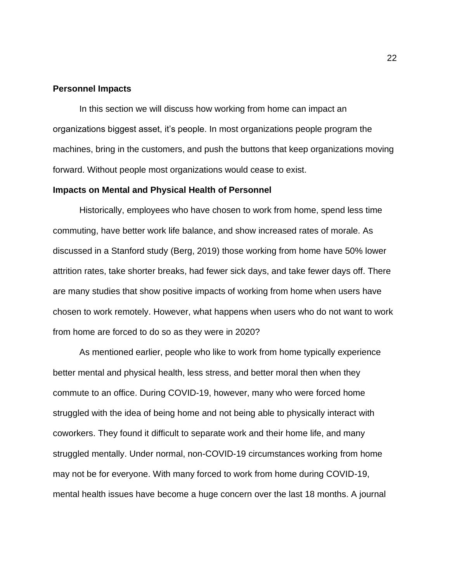#### <span id="page-22-0"></span>**Personnel Impacts**

In this section we will discuss how working from home can impact an organizations biggest asset, it's people. In most organizations people program the machines, bring in the customers, and push the buttons that keep organizations moving forward. Without people most organizations would cease to exist.

#### <span id="page-22-1"></span>**Impacts on Mental and Physical Health of Personnel**

Historically, employees who have chosen to work from home, spend less time commuting, have better work life balance, and show increased rates of morale. As discussed in a Stanford study (Berg, 2019) those working from home have 50% lower attrition rates, take shorter breaks, had fewer sick days, and take fewer days off. There are many studies that show positive impacts of working from home when users have chosen to work remotely. However, what happens when users who do not want to work from home are forced to do so as they were in 2020?

As mentioned earlier, people who like to work from home typically experience better mental and physical health, less stress, and better moral then when they commute to an office. During COVID-19, however, many who were forced home struggled with the idea of being home and not being able to physically interact with coworkers. They found it difficult to separate work and their home life, and many struggled mentally. Under normal, non-COVID-19 circumstances working from home may not be for everyone. With many forced to work from home during COVID-19, mental health issues have become a huge concern over the last 18 months. A journal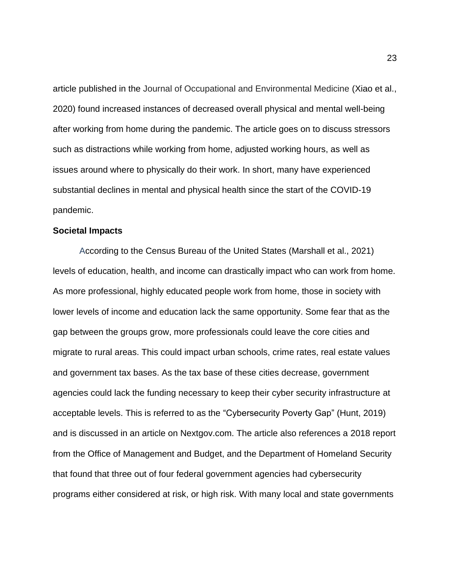article published in the Journal of Occupational and Environmental Medicine (Xiao et al., 2020) found increased instances of decreased overall physical and mental well-being after working from home during the pandemic. The article goes on to discuss stressors such as distractions while working from home, adjusted working hours, as well as issues around where to physically do their work. In short, many have experienced substantial declines in mental and physical health since the start of the COVID-19 pandemic.

#### <span id="page-23-0"></span>**Societal Impacts**

According to the Census Bureau of the United States (Marshall et al., 2021) levels of education, health, and income can drastically impact who can work from home. As more professional, highly educated people work from home, those in society with lower levels of income and education lack the same opportunity. Some fear that as the gap between the groups grow, more professionals could leave the core cities and migrate to rural areas. This could impact urban schools, crime rates, real estate values and government tax bases. As the tax base of these cities decrease, government agencies could lack the funding necessary to keep their cyber security infrastructure at acceptable levels. This is referred to as the "Cybersecurity Poverty Gap" (Hunt, 2019) and is discussed in an article on Nextgov.com. The article also references a 2018 report from the Office of Management and Budget, and the Department of Homeland Security that found that three out of four federal government agencies had cybersecurity programs either considered at risk, or high risk. With many local and state governments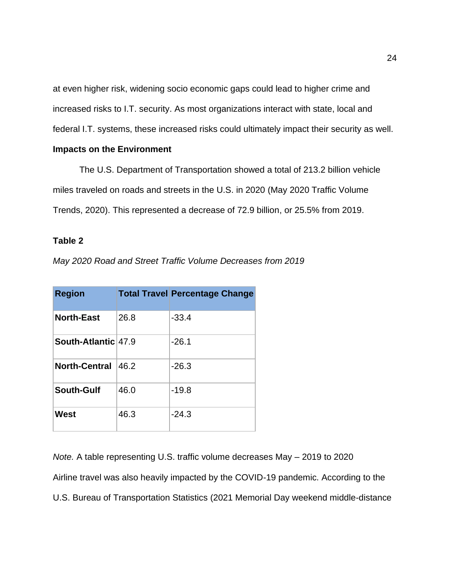at even higher risk, widening socio economic gaps could lead to higher crime and increased risks to I.T. security. As most organizations interact with state, local and federal I.T. systems, these increased risks could ultimately impact their security as well.

#### <span id="page-24-0"></span>**Impacts on the Environment**

The U.S. Department of Transportation showed a total of 213.2 billion vehicle miles traveled on roads and streets in the U.S. in 2020 (May 2020 Traffic Volume Trends, 2020). This represented a decrease of 72.9 billion, or 25.5% from 2019.

### <span id="page-24-1"></span>**Table 2**

*May 2020 Road and Street Traffic Volume Decreases from 2019*

| <b>Region</b>        |      | <b>Total Travel Percentage Change</b> |
|----------------------|------|---------------------------------------|
| <b>North-East</b>    | 26.8 | $-33.4$                               |
| South-Atlantic 47.9  |      | $-26.1$                               |
| <b>North-Central</b> | 46.2 | $-26.3$                               |
| South-Gulf           | 46.0 | $-19.8$                               |
| West                 | 46.3 | $-24.3$                               |

*Note.* A table representing U.S. traffic volume decreases May – 2019 to 2020 Airline travel was also heavily impacted by the COVID-19 pandemic. According to the U.S. Bureau of Transportation Statistics (2021 Memorial Day weekend middle-distance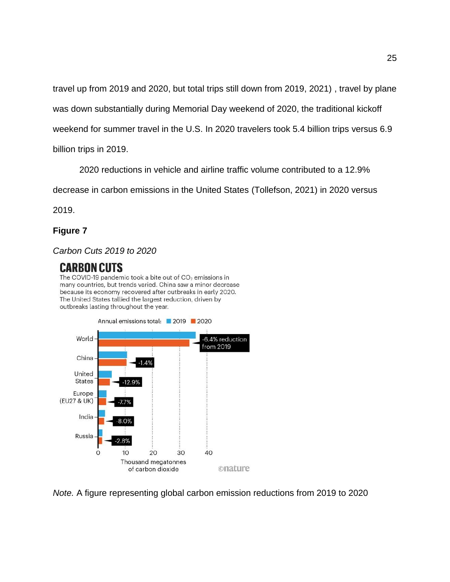travel up from 2019 and 2020, but total trips still down from 2019, 2021) , travel by plane was down substantially during Memorial Day weekend of 2020, the traditional kickoff weekend for summer travel in the U.S. In 2020 travelers took 5.4 billion trips versus 6.9 billion trips in 2019.

2020 reductions in vehicle and airline traffic volume contributed to a 12.9%

decrease in carbon emissions in the United States (Tollefson, 2021) in 2020 versus

2019.

## **Figure 7**

## *Carbon Cuts 2019 to 2020*

## CARBON CUTS

The COVID-19 pandemic took a bite out of  $CO<sub>2</sub>$  emissions in many countries, but trends varied. China saw a minor decrease because its economy recovered after outbreaks in early 2020. The United States tallied the largest reduction, driven by outbreaks lasting throughout the year.



*Note.* A figure representing global carbon emission reductions from 2019 to 2020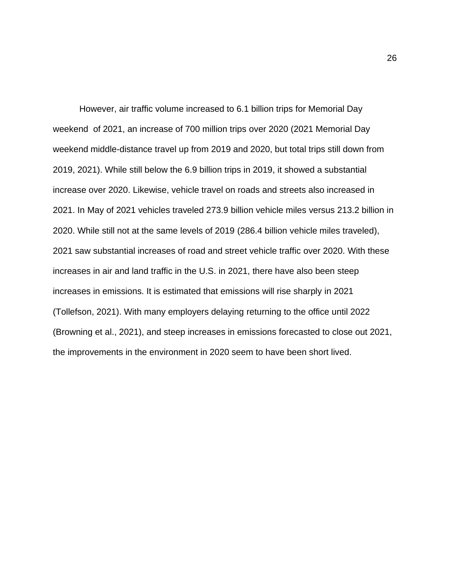However, air traffic volume increased to 6.1 billion trips for Memorial Day weekend of 2021, an increase of 700 million trips over 2020 (2021 Memorial Day weekend middle-distance travel up from 2019 and 2020, but total trips still down from 2019, 2021). While still below the 6.9 billion trips in 2019, it showed a substantial increase over 2020. Likewise, vehicle travel on roads and streets also increased in 2021. In May of 2021 vehicles traveled 273.9 billion vehicle miles versus 213.2 billion in 2020. While still not at the same levels of 2019 (286.4 billion vehicle miles traveled), 2021 saw substantial increases of road and street vehicle traffic over 2020. With these increases in air and land traffic in the U.S. in 2021, there have also been steep increases in emissions. It is estimated that emissions will rise sharply in 2021 (Tollefson, 2021). With many employers delaying returning to the office until 2022 (Browning et al., 2021), and steep increases in emissions forecasted to close out 2021, the improvements in the environment in 2020 seem to have been short lived.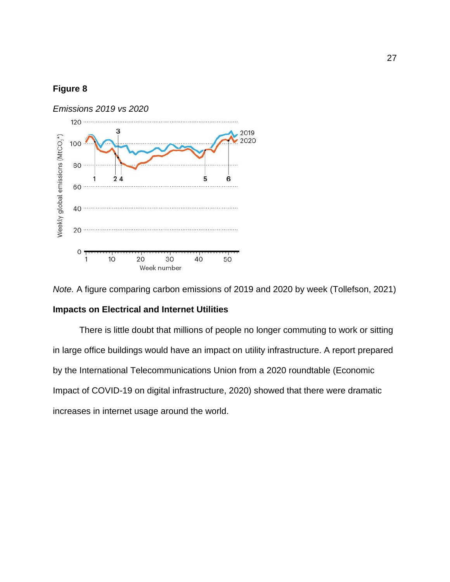## **Figure 8**





<span id="page-27-0"></span>There is little doubt that millions of people no longer commuting to work or sitting in large office buildings would have an impact on utility infrastructure. A report prepared by the International Telecommunications Union from a 2020 roundtable (Economic Impact of COVID-19 on digital infrastructure, 2020) showed that there were dramatic increases in internet usage around the world.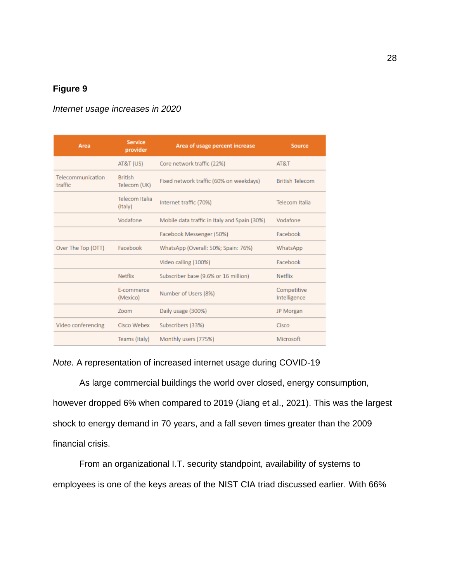## **Figure 9**

| Area                         | <b>Service</b><br>provider       | Area of usage percent increase               | Source                      |
|------------------------------|----------------------------------|----------------------------------------------|-----------------------------|
|                              | AT&T (US)                        | Core network traffic (22%)                   | AT&T                        |
| Telecommunication<br>traffic | <b>British</b><br>Telecom (UK)   | Fixed network traffic (60% on weekdays)      | <b>British Telecom</b>      |
|                              | <b>Telecom Italia</b><br>(Italy) | Internet traffic (70%)                       | Telecom Italia              |
|                              | Vodafone                         | Mobile data traffic in Italy and Spain (30%) | Vodafone                    |
|                              |                                  | Facebook Messenger (50%)                     | Facebook                    |
| Over The Top (OTT)           | Facebook                         | WhatsApp (Overall: 50%; Spain: 76%)          | WhatsApp                    |
|                              |                                  | Video calling (100%)                         | Facebook                    |
|                              | <b>Netflix</b>                   | Subscriber base (9.6% or 16 million)         | <b>Netflix</b>              |
|                              | E-commerce<br>(Mexico)           | Number of Users (8%)                         | Competitive<br>Intelligence |
|                              | Zoom                             | Daily usage (300%)                           | JP Morgan                   |
| Video conferencing           | Cisco Webex                      | Subscribers (33%)                            | Cisco                       |
|                              | Teams (Italy)                    | Monthly users (775%)                         | Microsoft                   |

#### *Internet usage increases in 2020*

## *Note.* A representation of increased internet usage during COVID-19

As large commercial buildings the world over closed, energy consumption, however dropped 6% when compared to 2019 (Jiang et al., 2021). This was the largest shock to energy demand in 70 years, and a fall seven times greater than the 2009 financial crisis.

From an organizational I.T. security standpoint, availability of systems to employees is one of the keys areas of the NIST CIA triad discussed earlier. With 66%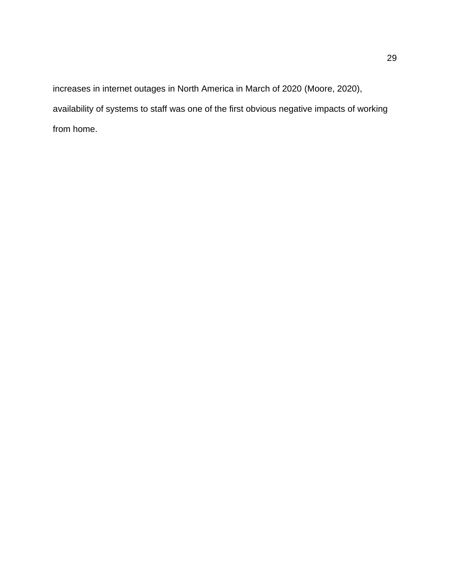increases in internet outages in North America in March of 2020 (Moore, 2020), availability of systems to staff was one of the first obvious negative impacts of working from home.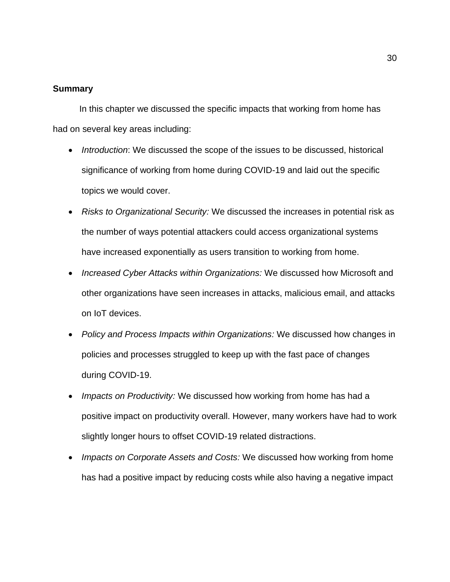#### <span id="page-30-0"></span>**Summary**

In this chapter we discussed the specific impacts that working from home has had on several key areas including:

- *Introduction*: We discussed the scope of the issues to be discussed, historical significance of working from home during COVID-19 and laid out the specific topics we would cover.
- *Risks to Organizational Security:* We discussed the increases in potential risk as the number of ways potential attackers could access organizational systems have increased exponentially as users transition to working from home.
- *Increased Cyber Attacks within Organizations:* We discussed how Microsoft and other organizations have seen increases in attacks, malicious email, and attacks on IoT devices.
- *Policy and Process Impacts within Organizations:* We discussed how changes in policies and processes struggled to keep up with the fast pace of changes during COVID-19.
- *Impacts on Productivity:* We discussed how working from home has had a positive impact on productivity overall. However, many workers have had to work slightly longer hours to offset COVID-19 related distractions.
- *Impacts on Corporate Assets and Costs:* We discussed how working from home has had a positive impact by reducing costs while also having a negative impact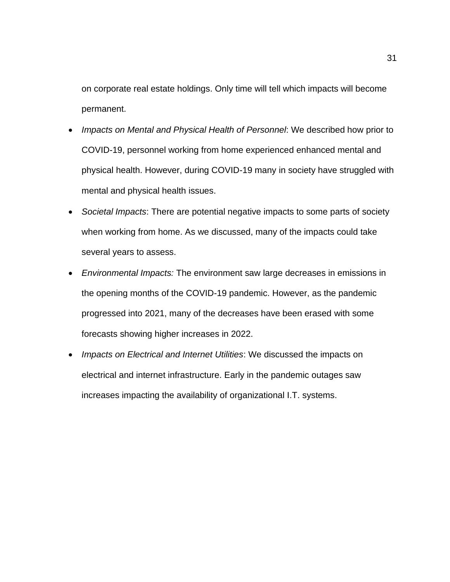on corporate real estate holdings. Only time will tell which impacts will become permanent.

- *Impacts on Mental and Physical Health of Personnel*: We described how prior to COVID-19, personnel working from home experienced enhanced mental and physical health. However, during COVID-19 many in society have struggled with mental and physical health issues.
- *Societal Impacts*: There are potential negative impacts to some parts of society when working from home. As we discussed, many of the impacts could take several years to assess.
- *Environmental Impacts:* The environment saw large decreases in emissions in the opening months of the COVID-19 pandemic. However, as the pandemic progressed into 2021, many of the decreases have been erased with some forecasts showing higher increases in 2022.
- *Impacts on Electrical and Internet Utilities*: We discussed the impacts on electrical and internet infrastructure. Early in the pandemic outages saw increases impacting the availability of organizational I.T. systems.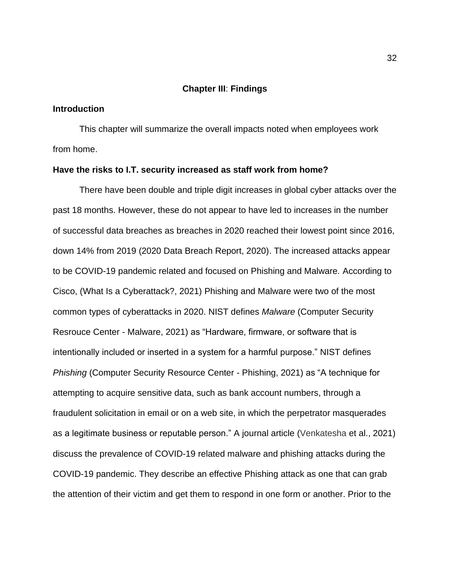#### <span id="page-32-0"></span>**Chapter III**: **Findings**

#### <span id="page-32-1"></span>**Introduction**

This chapter will summarize the overall impacts noted when employees work from home.

#### <span id="page-32-2"></span>**Have the risks to I.T. security increased as staff work from home?**

There have been double and triple digit increases in global cyber attacks over the past 18 months. However, these do not appear to have led to increases in the number of successful data breaches as breaches in 2020 reached their lowest point since 2016, down 14% from 2019 (2020 Data Breach Report, 2020). The increased attacks appear to be COVID-19 pandemic related and focused on Phishing and Malware. According to Cisco, (What Is a Cyberattack?, 2021) Phishing and Malware were two of the most common types of cyberattacks in 2020. NIST defines *Malware* (Computer Security Resrouce Center - Malware, 2021) as "Hardware, firmware, or software that is intentionally included or inserted in a system for a harmful purpose." NIST defines *Phishing* (Computer Security Resource Center - Phishing, 2021) as "A technique for attempting to acquire sensitive data, such as bank account numbers, through a fraudulent solicitation in email or on a web site, in which the perpetrator masquerades as a legitimate business or reputable person." A journal article (Venkatesha et al., 2021) discuss the prevalence of COVID-19 related malware and phishing attacks during the COVID-19 pandemic. They describe an effective Phishing attack as one that can grab the attention of their victim and get them to respond in one form or another. Prior to the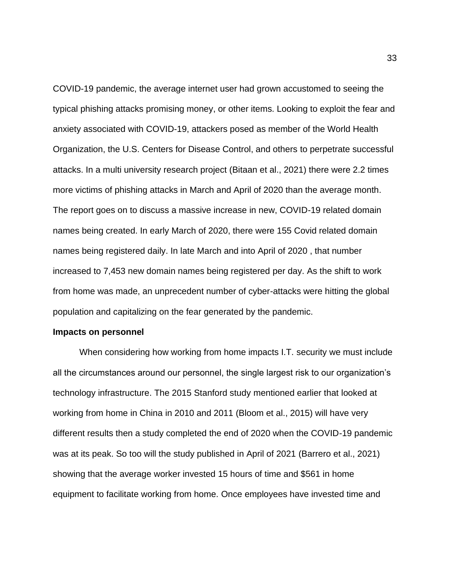COVID-19 pandemic, the average internet user had grown accustomed to seeing the typical phishing attacks promising money, or other items. Looking to exploit the fear and anxiety associated with COVID-19, attackers posed as member of the World Health Organization, the U.S. Centers for Disease Control, and others to perpetrate successful attacks. In a multi university research project (Bitaan et al., 2021) there were 2.2 times more victims of phishing attacks in March and April of 2020 than the average month. The report goes on to discuss a massive increase in new, COVID-19 related domain names being created. In early March of 2020, there were 155 Covid related domain names being registered daily. In late March and into April of 2020 , that number increased to 7,453 new domain names being registered per day. As the shift to work from home was made, an unprecedent number of cyber-attacks were hitting the global population and capitalizing on the fear generated by the pandemic.

#### <span id="page-33-0"></span>**Impacts on personnel**

When considering how working from home impacts I.T. security we must include all the circumstances around our personnel, the single largest risk to our organization's technology infrastructure. The 2015 Stanford study mentioned earlier that looked at working from home in China in 2010 and 2011 (Bloom et al., 2015) will have very different results then a study completed the end of 2020 when the COVID-19 pandemic was at its peak. So too will the study published in April of 2021 (Barrero et al., 2021) showing that the average worker invested 15 hours of time and \$561 in home equipment to facilitate working from home. Once employees have invested time and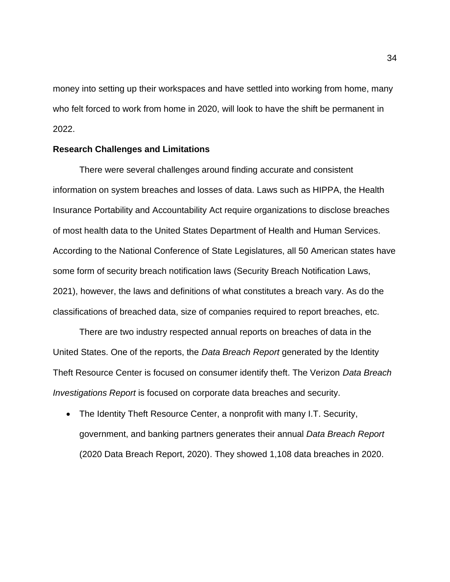money into setting up their workspaces and have settled into working from home, many who felt forced to work from home in 2020, will look to have the shift be permanent in 2022.

#### <span id="page-34-0"></span>**Research Challenges and Limitations**

There were several challenges around finding accurate and consistent information on system breaches and losses of data. Laws such as HIPPA, the Health Insurance Portability and Accountability Act require organizations to disclose breaches of most health data to the United States Department of Health and Human Services. According to the National Conference of State Legislatures, all 50 American states have some form of security breach notification laws (Security Breach Notification Laws, 2021), however, the laws and definitions of what constitutes a breach vary. As do the classifications of breached data, size of companies required to report breaches, etc.

There are two industry respected annual reports on breaches of data in the United States. One of the reports, the *Data Breach Report* generated by the Identity Theft Resource Center is focused on consumer identify theft. The Verizon *Data Breach Investigations Report* is focused on corporate data breaches and security.

• The Identity Theft Resource Center, a nonprofit with many I.T. Security, government, and banking partners generates their annual *Data Breach Report* (2020 Data Breach Report, 2020). They showed 1,108 data breaches in 2020.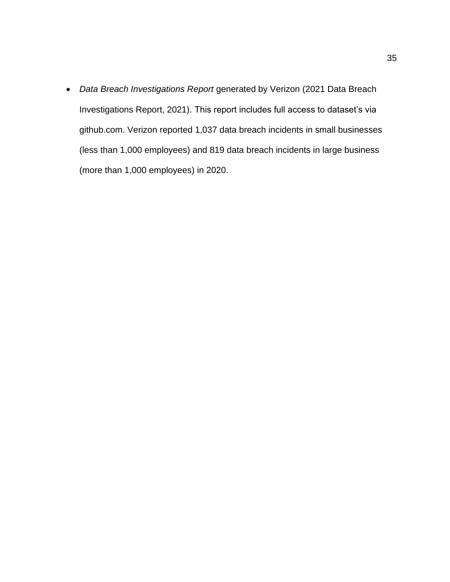• *Data Breach Investigations Report* generated by Verizon (2021 Data Breach Investigations Report, 2021). This report includes full access to dataset's via github.com. Verizon reported 1,037 data breach incidents in small businesses (less than 1,000 employees) and 819 data breach incidents in large business (more than 1,000 employees) in 2020.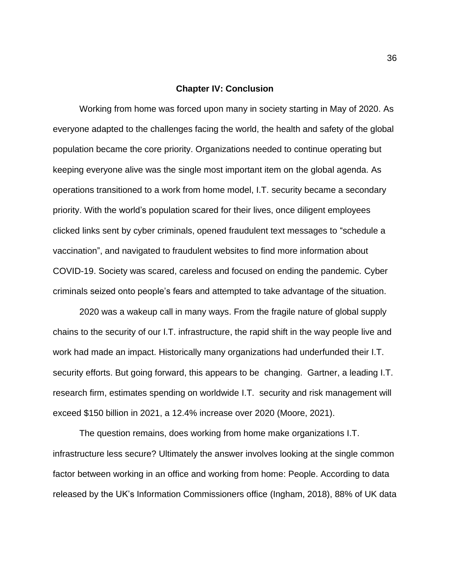#### <span id="page-36-0"></span>**Chapter IV: Conclusion**

Working from home was forced upon many in society starting in May of 2020. As everyone adapted to the challenges facing the world, the health and safety of the global population became the core priority. Organizations needed to continue operating but keeping everyone alive was the single most important item on the global agenda. As operations transitioned to a work from home model, I.T. security became a secondary priority. With the world's population scared for their lives, once diligent employees clicked links sent by cyber criminals, opened fraudulent text messages to "schedule a vaccination", and navigated to fraudulent websites to find more information about COVID-19. Society was scared, careless and focused on ending the pandemic. Cyber criminals seized onto people's fears and attempted to take advantage of the situation.

2020 was a wakeup call in many ways. From the fragile nature of global supply chains to the security of our I.T. infrastructure, the rapid shift in the way people live and work had made an impact. Historically many organizations had underfunded their I.T. security efforts. But going forward, this appears to be changing. Gartner, a leading I.T. research firm, estimates spending on worldwide I.T. security and risk management will exceed \$150 billion in 2021, a 12.4% increase over 2020 (Moore, 2021).

The question remains, does working from home make organizations I.T. infrastructure less secure? Ultimately the answer involves looking at the single common factor between working in an office and working from home: People. According to data released by the UK's Information Commissioners office (Ingham, 2018), 88% of UK data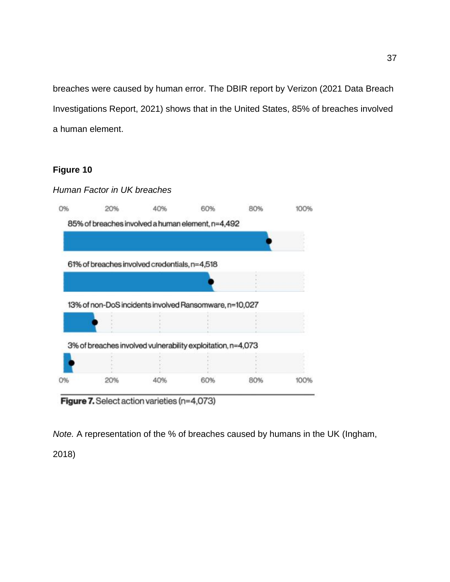breaches were caused by human error. The DBIR report by Verizon (2021 Data Breach Investigations Report, 2021) shows that in the United States, 85% of breaches involved a human element.

## **Figure 10**



Figure 7. Select action varieties (n=4,073)

*Note.* A representation of the % of breaches caused by humans in the UK (Ingham,

2018)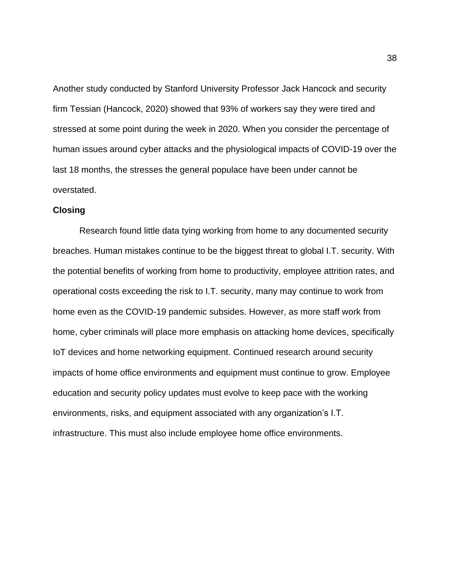Another study conducted by Stanford University Professor Jack Hancock and security firm Tessian (Hancock, 2020) showed that 93% of workers say they were tired and stressed at some point during the week in 2020. When you consider the percentage of human issues around cyber attacks and the physiological impacts of COVID-19 over the last 18 months, the stresses the general populace have been under cannot be overstated.

#### <span id="page-38-0"></span>**Closing**

Research found little data tying working from home to any documented security breaches. Human mistakes continue to be the biggest threat to global I.T. security. With the potential benefits of working from home to productivity, employee attrition rates, and operational costs exceeding the risk to I.T. security, many may continue to work from home even as the COVID-19 pandemic subsides. However, as more staff work from home, cyber criminals will place more emphasis on attacking home devices, specifically IoT devices and home networking equipment. Continued research around security impacts of home office environments and equipment must continue to grow. Employee education and security policy updates must evolve to keep pace with the working environments, risks, and equipment associated with any organization's I.T. infrastructure. This must also include employee home office environments.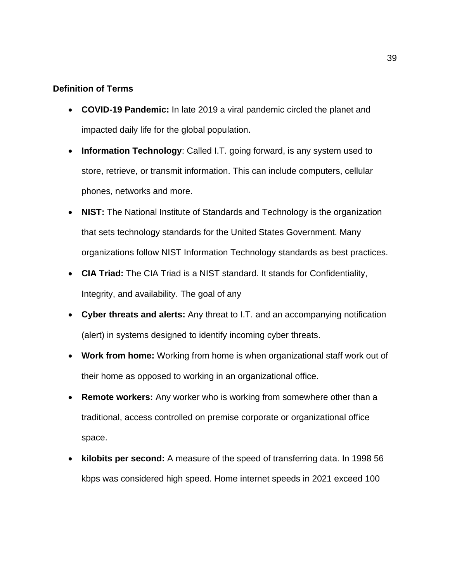### <span id="page-39-0"></span>**Definition of Terms**

- **COVID-19 Pandemic:** In late 2019 a viral pandemic circled the planet and impacted daily life for the global population.
- **Information Technology**: Called I.T. going forward, is any system used to store, retrieve, or transmit information. This can include computers, cellular phones, networks and more.
- **NIST:** The National Institute of Standards and Technology is the organization that sets technology standards for the United States Government. Many organizations follow NIST Information Technology standards as best practices.
- **CIA Triad:** The CIA Triad is a NIST standard. It stands for Confidentiality, Integrity, and availability. The goal of any
- **Cyber threats and alerts:** Any threat to I.T. and an accompanying notification (alert) in systems designed to identify incoming cyber threats.
- **Work from home:** Working from home is when organizational staff work out of their home as opposed to working in an organizational office.
- **Remote workers:** Any worker who is working from somewhere other than a traditional, access controlled on premise corporate or organizational office space.
- **kilobits per second:** A measure of the speed of transferring data. In 1998 56 kbps was considered high speed. Home internet speeds in 2021 exceed 100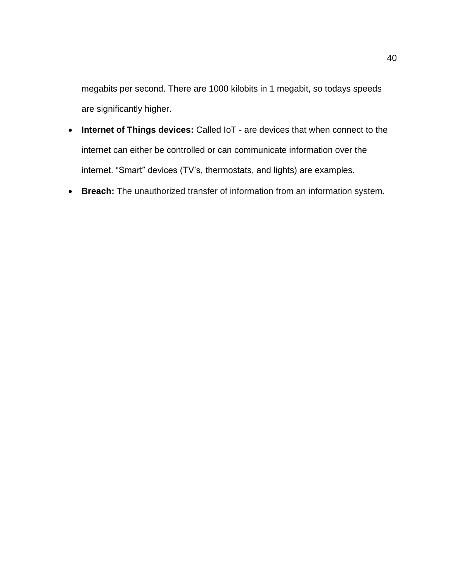megabits per second. There are 1000 kilobits in 1 megabit, so todays speeds are significantly higher.

- **Internet of Things devices:** Called IoT are devices that when connect to the internet can either be controlled or can communicate information over the internet. "Smart" devices (TV's, thermostats, and lights) are examples.
- **Breach:** The unauthorized transfer of information from an information system.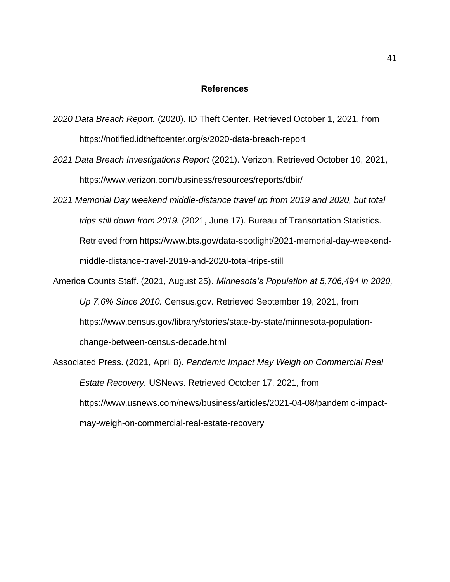#### **References**

- <span id="page-41-0"></span>*2020 Data Breach Report.* (2020). ID Theft Center. Retrieved October 1, 2021, from https://notified.idtheftcenter.org/s/2020-data-breach-report
- *2021 Data Breach Investigations Report* (2021). Verizon. Retrieved October 10, 2021, https://www.verizon.com/business/resources/reports/dbir/
- *2021 Memorial Day weekend middle-distance travel up from 2019 and 2020, but total trips still down from 2019.* (2021, June 17). Bureau of Transortation Statistics. Retrieved from https://www.bts.gov/data-spotlight/2021-memorial-day-weekendmiddle-distance-travel-2019-and-2020-total-trips-still
- America Counts Staff. (2021, August 25). *Minnesota's Population at 5,706,494 in 2020, Up 7.6% Since 2010.* Census.gov. Retrieved September 19, 2021, from https://www.census.gov/library/stories/state-by-state/minnesota-populationchange-between-census-decade.html
- Associated Press. (2021, April 8). *Pandemic Impact May Weigh on Commercial Real Estate Recovery.* USNews. Retrieved October 17, 2021, from https://www.usnews.com/news/business/articles/2021-04-08/pandemic-impactmay-weigh-on-commercial-real-estate-recovery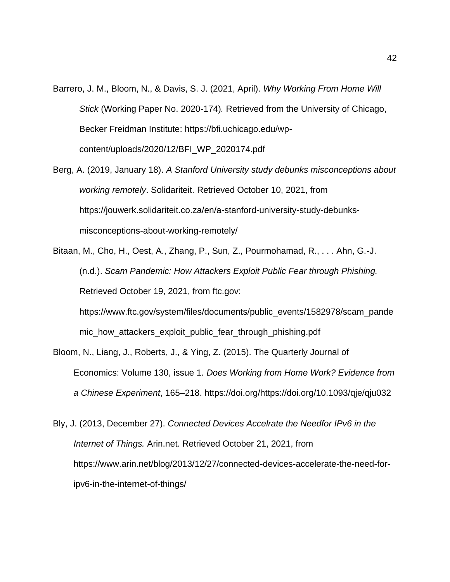- Barrero, J. M., Bloom, N., & Davis, S. J. (2021, April). *Why Working From Home Will Stick* (Working Paper No. 2020-174)*.* Retrieved from the University of Chicago, Becker Freidman Institute: https://bfi.uchicago.edu/wpcontent/uploads/2020/12/BFI\_WP\_2020174.pdf
- Berg, A. (2019, January 18). *A Stanford University study debunks misconceptions about working remotely*. Solidariteit. Retrieved October 10, 2021, from https://jouwerk.solidariteit.co.za/en/a-stanford-university-study-debunksmisconceptions-about-working-remotely/
- Bitaan, M., Cho, H., Oest, A., Zhang, P., Sun, Z., Pourmohamad, R., . . . Ahn, G.-J. (n.d.). *Scam Pandemic: How Attackers Exploit Public Fear through Phishing.* Retrieved October 19, 2021, from ftc.gov: https://www.ftc.gov/system/files/documents/public\_events/1582978/scam\_pande mic how attackers exploit public fear through phishing.pdf
- Bloom, N., Liang, J., Roberts, J., & Ying, Z. (2015). The Quarterly Journal of Economics: Volume 130, issue 1. *Does Working from Home Work? Evidence from a Chinese Experiment*, 165–218. https://doi.org/https://doi.org/10.1093/qje/qju032
- Bly, J. (2013, December 27). *Connected Devices Accelrate the Needfor IPv6 in the Internet of Things.* Arin.net. Retrieved October 21, 2021, from https://www.arin.net/blog/2013/12/27/connected-devices-accelerate-the-need-foripv6-in-the-internet-of-things/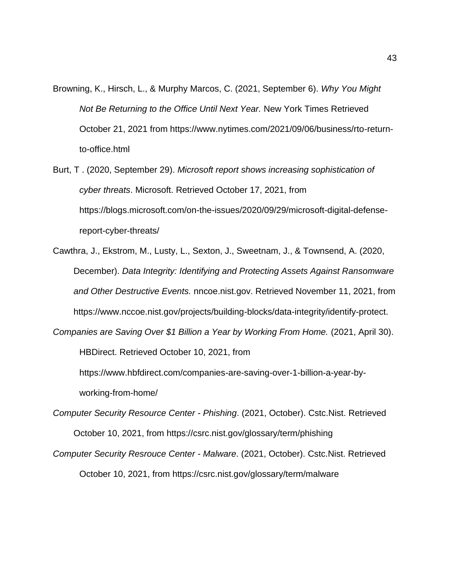Browning, K., Hirsch, L., & Murphy Marcos, C. (2021, September 6). *Why You Might Not Be Returning to the Office Until Next Year.* New York Times Retrieved October 21, 2021 from https://www.nytimes.com/2021/09/06/business/rto-returnto-office.html

Burt, T . (2020, September 29). *Microsoft report shows increasing sophistication of cyber threats*. Microsoft. Retrieved October 17, 2021, from https://blogs.microsoft.com/on-the-issues/2020/09/29/microsoft-digital-defensereport-cyber-threats/

Cawthra, J., Ekstrom, M., Lusty, L., Sexton, J., Sweetnam, J., & Townsend, A. (2020, December). *Data Integrity: Identifying and Protecting Assets Against Ransomware and Other Destructive Events.* nncoe.nist.gov. Retrieved November 11, 2021, from https://www.nccoe.nist.gov/projects/building-blocks/data-integrity/identify-protect.

*Companies are Saving Over \$1 Billion a Year by Working From Home.* (2021, April 30).

HBDirect. Retrieved October 10, 2021, from

https://www.hbfdirect.com/companies-are-saving-over-1-billion-a-year-byworking-from-home/

*Computer Security Resource Center - Phishing*. (2021, October). Cstc.Nist. Retrieved October 10, 2021, from https://csrc.nist.gov/glossary/term/phishing

*Computer Security Resrouce Center - Malware*. (2021, October). Cstc.Nist. Retrieved October 10, 2021, from https://csrc.nist.gov/glossary/term/malware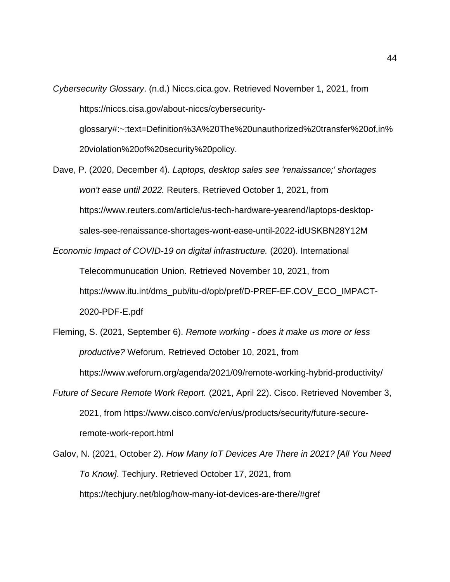- *Cybersecurity Glossary*. (n.d.) Niccs.cica.gov. Retrieved November 1, 2021, from https://niccs.cisa.gov/about-niccs/cybersecurityglossary#:~:text=Definition%3A%20The%20unauthorized%20transfer%20of,in% 20violation%20of%20security%20policy.
- Dave, P. (2020, December 4). *Laptops, desktop sales see 'renaissance;' shortages won't ease until 2022.* Reuters. Retrieved October 1, 2021, from https://www.reuters.com/article/us-tech-hardware-yearend/laptops-desktopsales-see-renaissance-shortages-wont-ease-until-2022-idUSKBN28Y12M

*Economic Impact of COVID-19 on digital infrastructure.* (2020). International

Telecommunucation Union. Retrieved November 10, 2021, from https://www.itu.int/dms\_pub/itu-d/opb/pref/D-PREF-EF.COV\_ECO\_IMPACT-2020-PDF-E.pdf

- Fleming, S. (2021, September 6). *Remote working - does it make us more or less productive?* Weforum. Retrieved October 10, 2021, from https://www.weforum.org/agenda/2021/09/remote-working-hybrid-productivity/
- *Future of Secure Remote Work Report.* (2021, April 22). Cisco. Retrieved November 3, 2021, from https://www.cisco.com/c/en/us/products/security/future-secureremote-work-report.html
- Galov, N. (2021, October 2). *How Many IoT Devices Are There in 2021? [All You Need To Know]*. Techjury. Retrieved October 17, 2021, from https://techjury.net/blog/how-many-iot-devices-are-there/#gref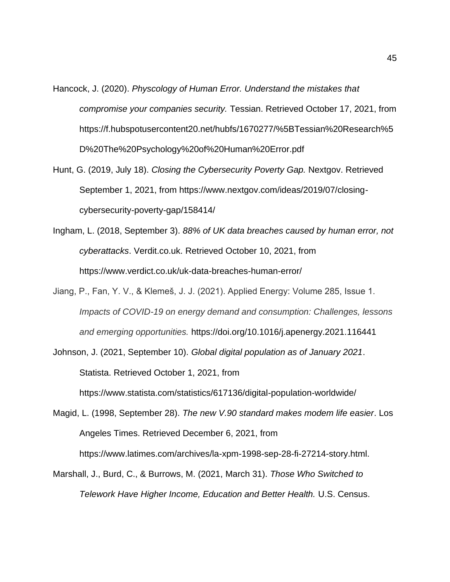Hancock, J. (2020). *Physcology of Human Error. Understand the mistakes that compromise your companies security.* Tessian. Retrieved October 17, 2021, from https://f.hubspotusercontent20.net/hubfs/1670277/%5BTessian%20Research%5 D%20The%20Psychology%20of%20Human%20Error.pdf

- Hunt, G. (2019, July 18). *Closing the Cybersecurity Poverty Gap.* Nextgov. Retrieved September 1, 2021, from https://www.nextgov.com/ideas/2019/07/closingcybersecurity-poverty-gap/158414/
- Ingham, L. (2018, September 3). *88% of UK data breaches caused by human error, not cyberattacks*. Verdit.co.uk. Retrieved October 10, 2021, from https://www.verdict.co.uk/uk-data-breaches-human-error/
- Jiang, P., Fan, Y. V., & Klemeš, J. J. (2021). Applied Energy: Volume 285, Issue 1. *Impacts of COVID-19 on energy demand and consumption: Challenges, lessons and emerging opportunities.* https://doi.org/10.1016/j.apenergy.2021.116441

Johnson, J. (2021, September 10). *Global digital population as of January 2021*. Statista. Retrieved October 1, 2021, from https://www.statista.com/statistics/617136/digital-population-worldwide/

Magid, L. (1998, September 28). *The new V.90 standard makes modem life easier*. Los Angeles Times. Retrieved December 6, 2021, from https://www.latimes.com/archives/la-xpm-1998-sep-28-fi-27214-story.html.

Marshall, J., Burd, C., & Burrows, M. (2021, March 31). *Those Who Switched to Telework Have Higher Income, Education and Better Health.* U.S. Census.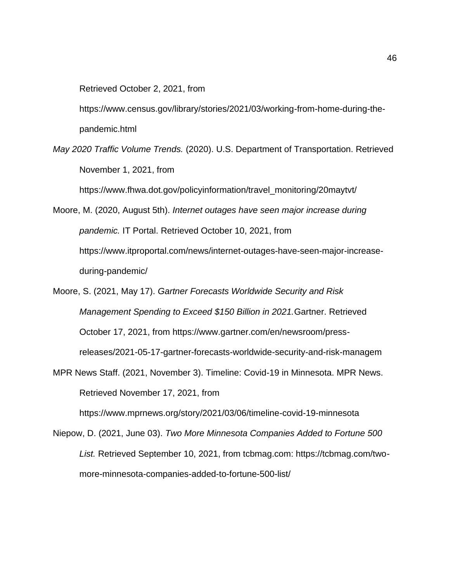Retrieved October 2, 2021, from

https://www.census.gov/library/stories/2021/03/working-from-home-during-thepandemic.html

*May 2020 Traffic Volume Trends.* (2020). U.S. Department of Transportation. Retrieved November 1, 2021, from

https://www.fhwa.dot.gov/policyinformation/travel\_monitoring/20maytvt/

Moore, M. (2020, August 5th). *Internet outages have seen major increase during pandemic.* IT Portal. Retrieved October 10, 2021, from https://www.itproportal.com/news/internet-outages-have-seen-major-increaseduring-pandemic/

- Moore, S. (2021, May 17). *Gartner Forecasts Worldwide Security and Risk Management Spending to Exceed \$150 Billion in 2021.*Gartner. Retrieved October 17, 2021, from https://www.gartner.com/en/newsroom/pressreleases/2021-05-17-gartner-forecasts-worldwide-security-and-risk-managem
- MPR News Staff. (2021, November 3). Timeline: Covid-19 in Minnesota. MPR News. Retrieved November 17, 2021, from

https://www.mprnews.org/story/2021/03/06/timeline-covid-19-minnesota

Niepow, D. (2021, June 03). *Two More Minnesota Companies Added to Fortune 500 List.* Retrieved September 10, 2021, from tcbmag.com: https://tcbmag.com/twomore-minnesota-companies-added-to-fortune-500-list/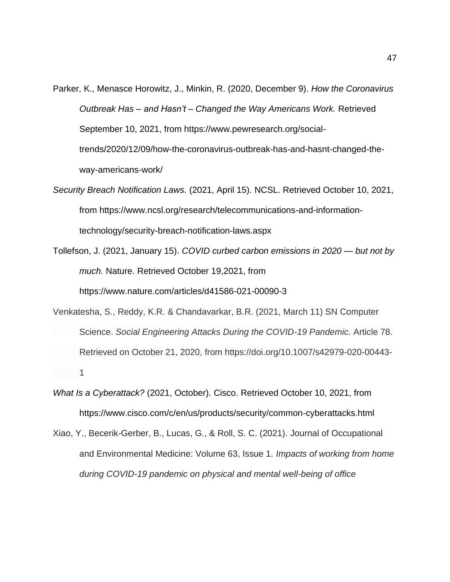- Parker, K., Menasce Horowitz, J., Minkin, R. (2020, December 9). *How the Coronavirus Outbreak Has – and Hasn't – Changed the Way Americans Work.* Retrieved September 10, 2021, from https://www.pewresearch.org/socialtrends/2020/12/09/how-the-coronavirus-outbreak-has-and-hasnt-changed-theway-americans-work/
- *Security Breach Notification Laws.* (2021, April 15). NCSL. Retrieved October 10, 2021, from https://www.ncsl.org/research/telecommunications-and-informationtechnology/security-breach-notification-laws.aspx
- Tollefson, J. (2021, January 15). *COVID curbed carbon emissions in 2020 — but not by much.* Nature. Retrieved October 19,2021, from https://www.nature.com/articles/d41586-021-00090-3
- Venkatesha, S., Reddy, K.R. & Chandavarkar, B.R. (2021, March 11) SN Computer Science. *Social Engineering Attacks During the COVID-19 Pandemic*. Article 78. Retrieved on October 21, 2020, from https://doi.org/10.1007/s42979-020-00443- 1
- *What Is a Cyberattack?* (2021, October). Cisco. Retrieved October 10, 2021, from https://www.cisco.com/c/en/us/products/security/common-cyberattacks.html
- Xiao, Y., Becerik-Gerber, B., Lucas, G., & Roll, S. C. (2021). Journal of Occupational and Environmental Medicine: Volume 63, Issue 1. *Impacts of working from home during COVID-19 pandemic on physical and mental well-being of office*